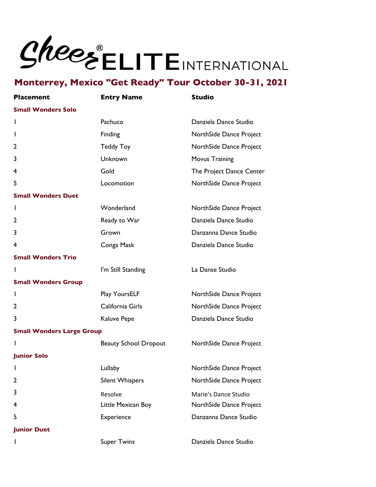| <b>Placement</b>                 | <b>Entry Name</b>            | <b>Studio</b>            |  |
|----------------------------------|------------------------------|--------------------------|--|
| <b>Small Wonders Solo</b>        |                              |                          |  |
| $\mathbf{I}$                     | Pachuco                      | Danziela Dance Studio    |  |
| L                                | Finding                      | NorthSide Dance Project  |  |
| 2                                | <b>Teddy Toy</b>             | NorthSide Dance Project  |  |
| 3                                | Unknown                      | <b>Movus Training</b>    |  |
| 4                                | Gold                         | The Project Dance Center |  |
| 5                                | Locomotion                   | NorthSide Dance Project  |  |
| <b>Small Wonders Duet</b>        |                              |                          |  |
| $\mathbf{I}$                     | Wonderland                   | NorthSide Dance Project  |  |
| 2                                | Ready to War                 | Danziela Dance Studio    |  |
| 3                                | Grown                        | Danzanna Dance Studio    |  |
| 4                                | Conga Mask                   | Danziela Dance Studio    |  |
| <b>Small Wonders Trio</b>        |                              |                          |  |
| $\mathbf{I}$                     | I'm Still Standing           | La Danse Studio          |  |
| <b>Small Wonders Group</b>       |                              |                          |  |
| $\mathbf{I}$                     | Play YoursELF                | NorthSide Dance Project  |  |
| 2                                | California Girls             | NorthSide Dance Project  |  |
| 3                                | Kaluve Pepe                  | Danziela Dance Studio    |  |
| <b>Small Wonders Large Group</b> |                              |                          |  |
| $\mathbf{I}$                     | <b>Beauty School Dropout</b> | NorthSide Dance Project  |  |
| <b>Junior Solo</b>               |                              |                          |  |
|                                  | Lullaby                      | NorthSide Dance Project  |  |
| 2                                | <b>Silent Whispers</b>       | NorthSide Dance Project  |  |
| 3                                | Resolve                      | Marie's Dance Studio     |  |
| 4                                | Little Mexican Boy           | NorthSide Dance Project  |  |
| 5                                | Experience                   | Danzanna Dance Studio    |  |
| <b>Junior Duet</b>               |                              |                          |  |
| L                                | <b>Super Twins</b>           | Danziela Dance Studio    |  |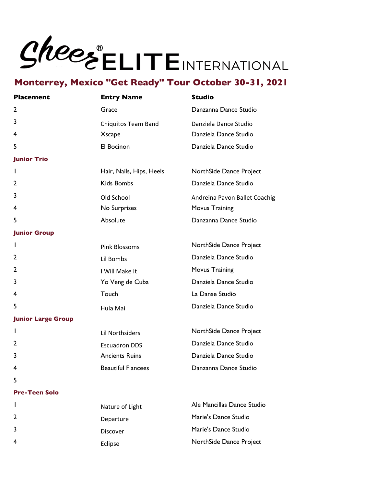# **Monterrey, Mexico "Get Ready" Tour October 30-31, 2021**

| <b>Placement</b>          | <b>Entry Name</b>          | <b>Studio</b>                 |
|---------------------------|----------------------------|-------------------------------|
| $\mathbf{2}$              | Grace                      | Danzanna Dance Studio         |
| 3                         | <b>Chiquitos Team Band</b> | Danziela Dance Studio         |
| 4                         | <b>Xscape</b>              | Danziela Dance Studio         |
| 5                         | El Bocinon                 | Danziela Dance Studio         |
| <b>Junior Trio</b>        |                            |                               |
| L                         | Hair, Nails, Hips, Heels   | NorthSide Dance Project       |
| 2                         | <b>Kids Bombs</b>          | Danziela Dance Studio         |
| 3                         | Old School                 | Andreina Pavon Ballet Coachig |
| 4                         | No Surprises               | Movus Training                |
| 5                         | Absolute                   | Danzanna Dance Studio         |
| <b>Junior Group</b>       |                            |                               |
| $\mathbf{I}$              | <b>Pink Blossoms</b>       | NorthSide Dance Project       |
| 2                         | Lil Bombs                  | Danziela Dance Studio         |
| 2                         | I Will Make It             | Movus Training                |
| 3                         | Yo Veng de Cuba            | Danziela Dance Studio         |
| 4                         | Touch                      | La Danse Studio               |
| 5                         | Hula Mai                   | Danziela Dance Studio         |
| <b>Junior Large Group</b> |                            |                               |
| L                         | <b>Lil Northsiders</b>     | NorthSide Dance Project       |
| 2                         | <b>Escuadron DDS</b>       | Danziela Dance Studio         |
| 3                         | <b>Ancients Ruins</b>      | Danziela Dance Studio         |
| 4                         | <b>Beautiful Fiancees</b>  | Danzanna Dance Studio         |
| 5                         |                            |                               |

#### **Pre-Teen Solo**

|                | Nature of Light | Ale Mancillas Dance Studio |
|----------------|-----------------|----------------------------|
| $\overline{2}$ | Departure       | Marie's Dance Studio       |
| $\mathbf{3}$   | Discover        | Marie's Dance Studio       |
| $\overline{4}$ | Eclipse         | NorthSide Dance Project    |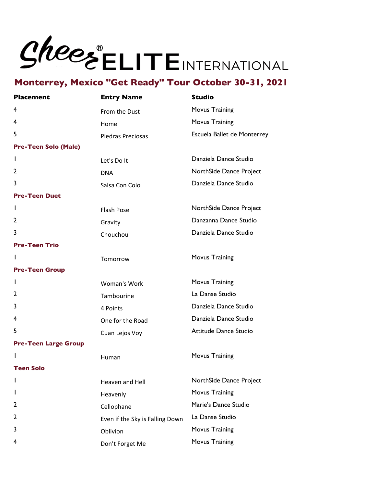| <b>Placement</b>            | <b>Entry Name</b>               | <b>Studio</b>               |
|-----------------------------|---------------------------------|-----------------------------|
| 4                           | From the Dust                   | <b>Movus Training</b>       |
| 4                           | Home                            | Movus Training              |
| 5                           | Piedras Preciosas               | Escuela Ballet de Monterrey |
| <b>Pre-Teen Solo (Male)</b> |                                 |                             |
| $\mathbf{I}$                | Let's Do It                     | Danziela Dance Studio       |
| 2                           | <b>DNA</b>                      | NorthSide Dance Project     |
| 3                           | Salsa Con Colo                  | Danziela Dance Studio       |
| <b>Pre-Teen Duet</b>        |                                 |                             |
| $\mathbf{I}$                | <b>Flash Pose</b>               | NorthSide Dance Project     |
| 2                           | Gravity                         | Danzanna Dance Studio       |
| 3                           | Chouchou                        | Danziela Dance Studio       |
| <b>Pre-Teen Trio</b>        |                                 |                             |
| L                           | Tomorrow                        | Movus Training              |
| <b>Pre-Teen Group</b>       |                                 |                             |
| $\mathbf{I}$                | Woman's Work                    | Movus Training              |
| 2                           | Tambourine                      | La Danse Studio             |
| 3                           | 4 Points                        | Danziela Dance Studio       |
| 4                           | One for the Road                | Danziela Dance Studio       |
| 5                           | Cuan Lejos Voy                  | Attitude Dance Studio       |
| <b>Pre-Teen Large Group</b> |                                 |                             |
|                             | Human                           | Movus Training              |
| <b>Teen Solo</b>            |                                 |                             |
| L                           | Heaven and Hell                 | NorthSide Dance Project     |
| ı                           | Heavenly                        | Movus Training              |
| 2                           | Cellophane                      | Marie's Dance Studio        |
| 2                           | Even if the Sky is Falling Down | La Danse Studio             |
| 3                           | Oblivion                        | Movus Training              |
| 4                           | Don't Forget Me                 | Movus Training              |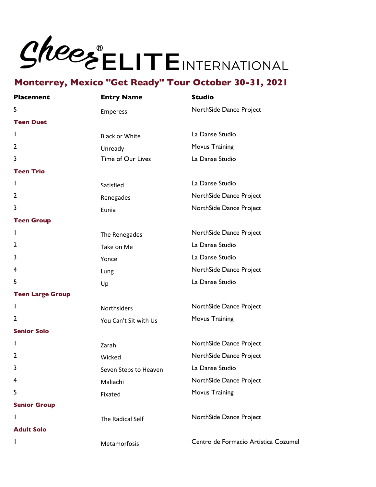| <b>Placement</b>        | <b>Entry Name</b>     | <b>Studio</b>                        |
|-------------------------|-----------------------|--------------------------------------|
| 5                       | <b>Emperess</b>       | NorthSide Dance Project              |
| <b>Teen Duet</b>        |                       |                                      |
| T                       | <b>Black or White</b> | La Danse Studio                      |
| $\overline{2}$          | Unready               | Movus Training                       |
| 3                       | Time of Our Lives     | La Danse Studio                      |
| <b>Teen Trio</b>        |                       |                                      |
| T                       | Satisfied             | La Danse Studio                      |
| $\mathbf{2}$            | Renegades             | NorthSide Dance Project              |
| 3                       | Eunia                 | NorthSide Dance Project              |
| <b>Teen Group</b>       |                       |                                      |
| T                       | The Renegades         | NorthSide Dance Project              |
| $\mathbf{2}$            | Take on Me            | La Danse Studio                      |
| 3                       | Yonce                 | La Danse Studio                      |
| 4                       | Lung                  | NorthSide Dance Project              |
| 5                       | Up                    | La Danse Studio                      |
| <b>Teen Large Group</b> |                       |                                      |
| T                       | Northsiders           | NorthSide Dance Project              |
| $\overline{2}$          | You Can't Sit with Us | Movus Training                       |
| <b>Senior Solo</b>      |                       |                                      |
| I.                      | Zarah                 | NorthSide Dance Project              |
| $\overline{2}$          | Wicked                | NorthSide Dance Project              |
| 3                       | Seven Steps to Heaven | La Danse Studio                      |
| 4                       | Maliachi              | NorthSide Dance Project              |
| 5                       | Fixated               | <b>Movus Training</b>                |
| <b>Senior Group</b>     |                       |                                      |
| $\mathbf{I}$            | The Radical Self      | NorthSide Dance Project              |
| <b>Adult Solo</b>       |                       |                                      |
| ı                       | Metamorfosis          | Centro de Formacio Artistica Cozumel |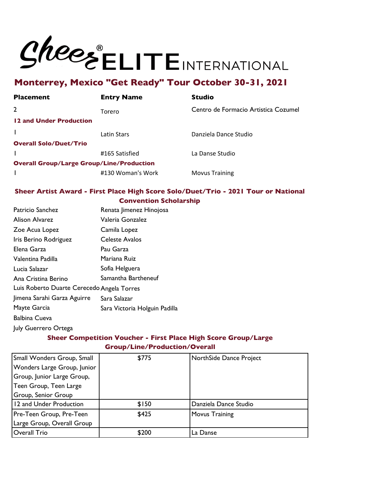# **Monterrey, Mexico "Get Ready" Tour October 30-31, 2021**

| <b>Placement</b>              | <b>Entry Name</b>                                | <b>Studio</b>                        |
|-------------------------------|--------------------------------------------------|--------------------------------------|
| $\overline{2}$                | Torero                                           | Centro de Formacio Artistica Cozumel |
| 12 and Under Production       |                                                  |                                      |
|                               | Latin Stars                                      | Danziela Dance Studio                |
| <b>Overall Solo/Duet/Trio</b> |                                                  |                                      |
|                               | #165 Satisfied                                   | La Danse Studio                      |
|                               | <b>Overall Group/Large Group/Line/Production</b> |                                      |
|                               | #130 Woman's Work                                | <b>Movus Training</b>                |

### **Sheer Artist Award - First Place High Score Solo/Duet/Trio - 2021 Tour or National Convention Scholarship**

| Patricio Sanchez                           | Renata Jimenez Hinojosa       |
|--------------------------------------------|-------------------------------|
| Alison Alvarez                             | Valeria Gonzalez              |
| Zoe Acua Lopez                             | Camila Lopez                  |
| Iris Berino Rodriguez                      | Celeste Avalos                |
| Elena Garza                                | Pau Garza                     |
| Valentina Padilla                          | Mariana Ruiz                  |
| Lucia Salazar                              | Sofia Helguera                |
| Ana Cristina Berino                        | Samantha Bartheneuf           |
| Luis Roberto Duarte Cerecedo Angela Torres |                               |
| Jimena Sarahi Garza Aguirre                | Sara Salazar                  |
| Mayte Garcia                               | Sara Victoria Holguin Padilla |
| Balbina Cueva                              |                               |
| July Guerrero Ortega                       |                               |
|                                            |                               |

## **Sheer Competition Voucher - First Place High Score Group/Large Group/Line/Production/Overall**

| Small Wonders Group, Small  | \$775 | NorthSide Dance Project |
|-----------------------------|-------|-------------------------|
| Wonders Large Group, Junior |       |                         |
| Group, Junior Large Group,  |       |                         |
| Teen Group, Teen Large      |       |                         |
| Group, Senior Group         |       |                         |
| 12 and Under Production     | \$150 | Danziela Dance Studio   |
| Pre-Teen Group, Pre-Teen    | \$425 | <b>Movus Training</b>   |
| Large Group, Overall Group  |       |                         |
| Overall Trio                | \$200 | La Danse                |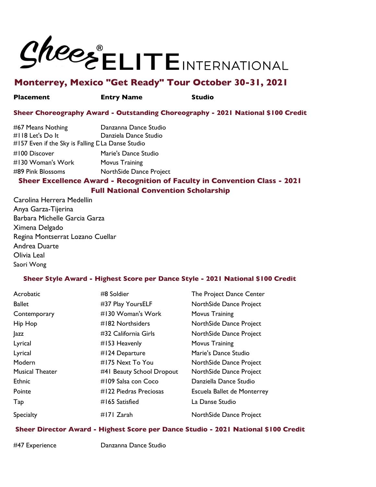

# **Monterrey, Mexico "Get Ready" Tour October 30-31, 2021**

#### **Placement Entry Name Studio**

## **Sheer Choreography Award - Outstanding Choreography - 2021 National \$100 Credit**

| #157 Even if the Sky is Falling C La Danse Studio |                                                                            |
|---------------------------------------------------|----------------------------------------------------------------------------|
| #100 Discover                                     | Marie's Dance Studio                                                       |
| #130 Woman's Work                                 | Movus Training                                                             |
| #89 Pink Blossoms                                 | NorthSide Dance Project                                                    |
|                                                   | Sheer Excellence Award - Recognition of Faculty in Convention Class - 2021 |

**Full National Convention Scholarship**

Carolina Herrera Medellin Anya Garza-Tijerina Barbara Michelle Garcia Garza Ximena Delgado Regina Montserrat Lozano Cuellar Andrea Duarte Olivia Leal Saori Wong

## **Sheer Style Award - Highest Score per Dance Style - 2021 National \$100 Credit**

| Acrobatic              | #8 Soldier                | The Project Dance Center    |
|------------------------|---------------------------|-----------------------------|
| <b>Ballet</b>          | #37 Play YoursELF         | NorthSide Dance Project     |
| Contemporary           | #130 Woman's Work         | Movus Training              |
| Hip Hop                | #182 Northsiders          | NorthSide Dance Project     |
| <b>azz</b>             | #32 California Girls      | NorthSide Dance Project     |
| Lyrical                | $#153$ Heavenly           | Movus Training              |
| Lyrical                | #124 Departure            | Marie's Dance Studio        |
| Modern                 | #175 Next To You          | NorthSide Dance Project     |
| <b>Musical Theater</b> | #41 Beauty School Dropout | NorthSide Dance Project     |
| <b>Ethnic</b>          | #109 Salsa con Coco       | Danziella Dance Studio      |
| Pointe                 | #122 Piedras Preciosas    | Escuela Ballet de Monterrey |
| Tap                    | #165 Satisfied            | La Danse Studio             |
| Specialty              | #171 Zarah                | NorthSide Dance Project     |

## **Sheer Director Award - Highest Score per Dance Studio - 2021 National \$100 Credit**

#47 Experience Danzanna Dance Studio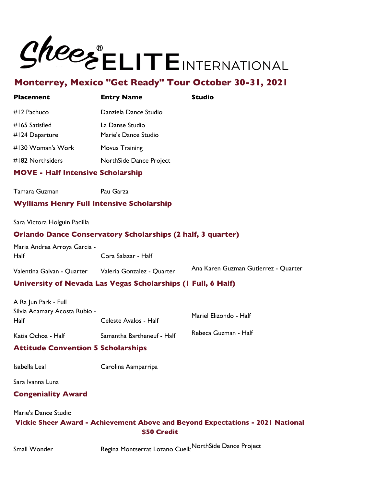

# **Monterrey, Mexico "Get Ready" Tour October 30-31, 2021**

| <b>Placement</b>                 | <b>Entry Name</b>                       | Studio |
|----------------------------------|-----------------------------------------|--------|
| $#12$ Pachuco                    | Danziela Dance Studio                   |        |
| #165 Satisfied<br>#124 Departure | La Danse Studio<br>Marie's Dance Studio |        |
| #130 Woman's Work                | Movus Training                          |        |
| #182 Northsiders                 | NorthSide Dance Project                 |        |
|                                  |                                         |        |

## **MOVE - Half Intensive Scholarship**

Tamara Guzman Pau Garza

## **Wylliams Henry Full Intensive Scholarship**

Sara Victora Holguin Padilla

### **Orlando Dance Conservatory Scholarships (2 half, 3 quarter)**

Maria Andrea Arroya Garcia - Half Cora Salazar - Half

Valentina Galvan - Quarter Valeria Gonzalez - Quarter Ana Karen Guzman Gutierrez - Quarter

## **University of Nevada Las Vegas Scholarships (1 Full, 6 Half)**

| A Ra Jun Park - Full          |                            |                      |
|-------------------------------|----------------------------|----------------------|
| Silvia Adamary Acosta Rubio - | Mariel Elizondo - Half     |                      |
| Half                          | Celeste Avalos - Half      |                      |
| Katia Ochoa - Half            | Samantha Bartheneuf - Half | Rebeca Guzman - Half |

## **Attitude Convention 5 Scholarships**

Isabella Leal Carolina Aamparripa

Sara Ivanna Luna

## **Congeniality Award**

Marie's Dance Studio

## **Vickie Sheer Award - Achievement Above and Beyond Expectations - 2021 National \$50 Credit**

Small Wonder **Regina Montserrat Lozano Cuell** NorthSide Dance Project